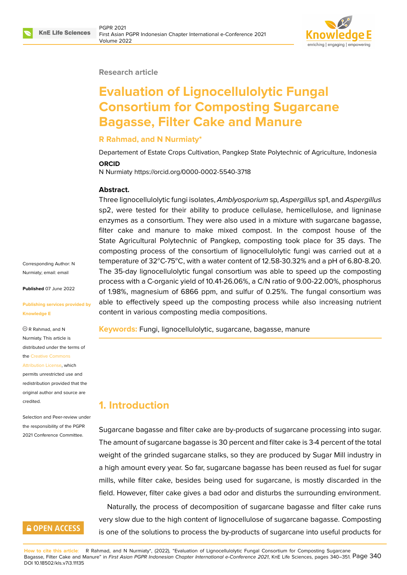

#### **Research article**

# **Evaluation of Lignocellulolytic Fungal Consortium for Composting Sugarcane Bagasse, Filter Cake and Manure**

#### **R Rahmad, and N Nurmiaty\***

Departement of Estate Crops Cultivation, Pangkep State Polytechnic of Agriculture, Indonesia

#### **ORCID**

N Nurmiaty https://orcid.org/0000-0002-5540-3718

#### **Abstract.**

Three lignocellulolytic fungi isolates, *Amblyosporium* sp, *Aspergillus* sp1, and *Aspergillus* sp2, were tested for their ability to produce cellulase, hemicellulose, and ligninase enzymes as a consortium. They were also used in a mixture with sugarcane bagasse, filter cake and manure to make mixed compost. In the compost house of the State Agricultural Polytechnic of Pangkep, composting took place for 35 days. The composting process of the consortium of lignocellulolytic fungi was carried out at a temperature of  $32^{\circ}$ C-75 $^{\circ}$ C, with a water content of 12.58-30.32% and a pH of 6.80-8.20. The 35-day lignocellulolytic fungal consortium was able to speed up the composting process with a C-organic yield of 10.41-26.06%, a C/N ratio of 9.00-22.00%, phosphorus of 1.98%, magnesium of 6866 ppm, and sulfur of 0.25%. The fungal consortium was able to effectively speed up the composting process while also increasing nutrient content in various composting media compositions.

**Keywords:** Fungi, lignocellulolytic, sugarcane, bagasse, manure

## **1. Introduction**

Sugarcane bagasse and filter cake are by-products of sugarcane processing into sugar. The amount of sugarcane bagasse is 30 percent and filter cake is 3-4 percent of the total weight of the grinded sugarcane stalks, so they are produced by Sugar Mill industry in a high amount every year. So far, sugarcane bagasse has been reused as fuel for sugar mills, while filter cake, besides being used for sugarcane, is mostly discarded in the field. However, filter cake gives a bad odor and disturbs the surrounding environment.

Naturally, the process of decomposition of sugarcane bagasse and filter cake runs very slow due to the high content of lignocellulose of sugarcane bagasse. Composting is one of the solutions to process the by-products of sugarcane into useful products for

**How to cite this article**: R Rahmad, and N Nurmiaty\*, (2022), "Evaluation of Lignocellulolytic Fungal Consortium for Composting Sugarcane Bagasse, Filter Cake and Manure" in *First Asian PGPR Indonesian Chapter International e-Conference 2021*, KnE Life Sciences, pages 340–351. Page 340 DOI 10.18502/kls.v7i3.11135

Corresponding Author: N Nurmiaty; email: email

**Published** 07 June 2022

#### **Publishing servi[ces pr](mailto:email)ovided by Knowledge E**

R Rahmad, and N Nurmiaty. This article is distributed under the terms of the Creative Commons

#### Attribution License, which

permits unrestricted use and redistribution provided that the orig[inal author and sou](https://creativecommons.org/licenses/by/4.0/)rce are [credited.](https://creativecommons.org/licenses/by/4.0/)

Selection and Peer-review under the responsibility of the PGPR 2021 Conference Committee.

## **GOPEN ACCESS**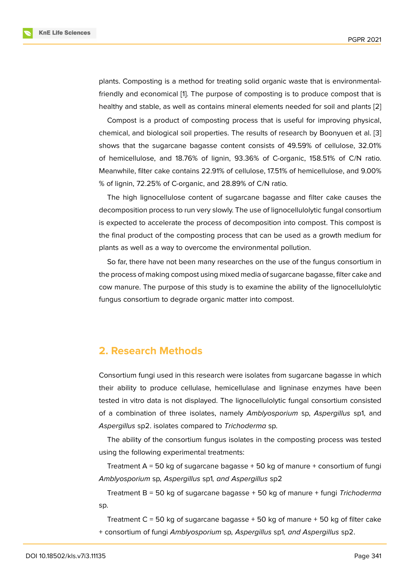plants. Composting is a method for treating solid organic waste that is environmentalfriendly and economical [1]. The purpose of composting is to produce compost that is healthy and stable, as well as contains mineral elements needed for soil and plants [2]

Compost is a product of composting process that is useful for improving physical, chemical, and biological [so](#page-10-0)il properties. The results of research by Boonyuen et al. [3] shows that the sugarcane bagasse content consists of 49.59% of cellulose, 32.0[1%](#page-10-1) of hemicellulose, and 18.76% of lignin, 93.36% of C-organic, 158.51% of C/N ratio. Meanwhile, filter cake contains 22.91% of cellulose, 17.51% of hemicellulose, and 9.0[0%](#page-10-2) % of lignin, 72.25% of C-organic, and 28.89% of C/N ratio.

The high lignocellulose content of sugarcane bagasse and filter cake causes the decomposition process to run very slowly. The use of lignocellulolytic fungal consortium is expected to accelerate the process of decomposition into compost. This compost is the final product of the composting process that can be used as a growth medium for plants as well as a way to overcome the environmental pollution.

So far, there have not been many researches on the use of the fungus consortium in the process of making compost using mixed media of sugarcane bagasse, filter cake and cow manure. The purpose of this study is to examine the ability of the lignocellulolytic fungus consortium to degrade organic matter into compost.

## **2. Research Methods**

Consortium fungi used in this research were isolates from sugarcane bagasse in which their ability to produce cellulase, hemicellulase and ligninase enzymes have been tested in vitro data is not displayed. The lignocellulolytic fungal consortium consisted of a combination of three isolates, namely *Amblyosporium* sp, *Aspergillus* sp1, and *Aspergillus* sp2. isolates compared to *Trichoderma* sp.

The ability of the consortium fungus isolates in the composting process was tested using the following experimental treatments:

Treatment  $A = 50$  kg of sugarcane bagasse  $+50$  kg of manure  $+$  consortium of fungi *Amblyosporium* sp*, Aspergillus* sp1*, and Aspergillus* sp2

Treatment B = 50 kg of sugarcane bagasse + 50 kg of manure + fungi *Trichoderma* sp.

Treatment  $C = 50$  kg of sugarcane bagasse  $+50$  kg of manure  $+50$  kg of filter cake + consortium of fungi *Amblyosporium* sp*, Aspergillus* sp1*, and Aspergillus* sp2.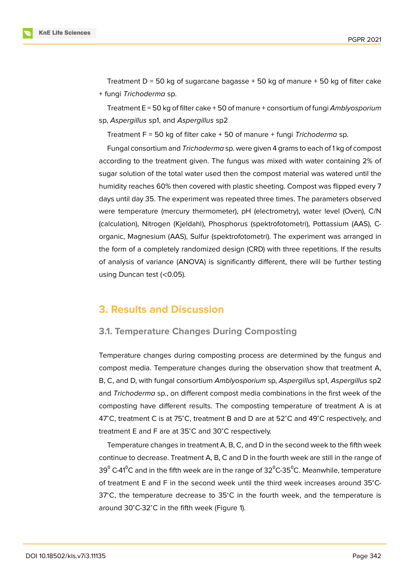Treatment  $D = 50$  kg of sugarcane bagasse  $+50$  kg of manure  $+50$  kg of filter cake + fungi *Trichoderma* sp.

Treatment E = 50 kg of filter cake + 50 of manure + consortium of fungi *Amblyosporium* sp, *Aspergillus* sp1, and *Aspergillus* sp2

Treatment F = 50 kg of filter cake + 50 of manure + fungi *Trichoderma* sp.

Fungal consortium and *Trichoderma* sp. were given 4 grams to each of 1 kg of compost according to the treatment given. The fungus was mixed with water containing 2% of sugar solution of the total water used then the compost material was watered until the humidity reaches 60% then covered with plastic sheeting. Compost was flipped every 7 days until day 35. The experiment was repeated three times. The parameters observed were temperature (mercury thermometer), pH (electrometry), water level (Oven), C/N (calculation), Nitrogen (Kjeldahl), Phosphorus (spektrofotometri), Pottassium (AAS), Corganic, Magnesium (AAS), Sulfur (spektrofotometri). The experiment was arranged in the form of a completely randomized design (CRD) with three repetitions. If the results of analysis of variance (ANOVA) is significantly different, there will be further testing using Duncan test (<0.05).

## **3. Results and Discussion**

### **3.1. Temperature Changes During Composting**

Temperature changes during composting process are determined by the fungus and compost media. Temperature changes during the observation show that treatment A, B, C, and D, with fungal consortium *Amblyosporium* sp, *Aspergillus* sp1, *Aspergillus* sp2 and *Trichoderma* sp., on different compost media combinations in the first week of the composting have different results. The composting temperature of treatment A is at 47<sup>∘</sup>C, treatment C is at 75<sup>∘</sup>C, treatment B and D are at 52<sup>∘</sup>C and 49<sup>∘</sup>C respectively, and treatment E and F are at 35<sup>∘</sup>C and 30<sup>∘</sup>C respectively.

Temperature changes in treatment A, B, C, and D in the second week to the fifth week continue to decrease. Treatment A, B, C and D in the fourth week are still in the range of 39 $^{\circ}$  C-41 $^{\circ}$ C and in the fifth week are in the range of 32 $^{\circ}$ C-35 $^{\circ}$ C. Meanwhile, temperature of treatment E and F in the second week until the third week increases around 35<sup>∘</sup>C-37<sup>∘</sup>C, the temperature decrease to 35<sup>∘</sup>C in the fourth week, and the temperature is around 30<sup>∘</sup>C-32<sup>∘</sup>C in the fifth week (Figure 1).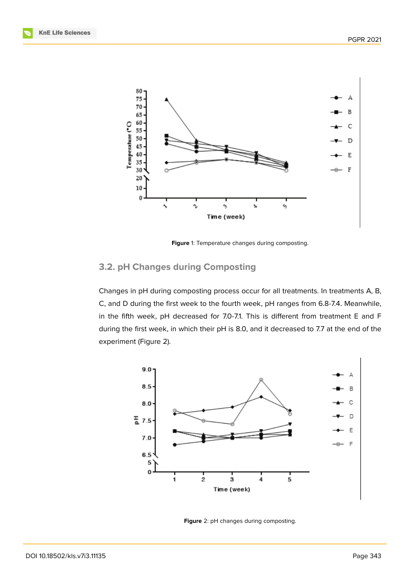

<span id="page-3-0"></span>**Figure** 1: Temperature changes during composting.

### **3.2. pH Changes during Composting**

Changes in pH during composting process occur for all treatments. In treatments A, B, C, and D during the first week to the fourth week, pH ranges from 6.8-7.4. Meanwhile, in the fifth week, pH decreased for 7.0-7.1. This is different from treatment E and F during the first week, in which their pH is 8.0, and it decreased to 7.7 at the end of the experiment (Figure 2).



**Figure** 2: pH changes during composting.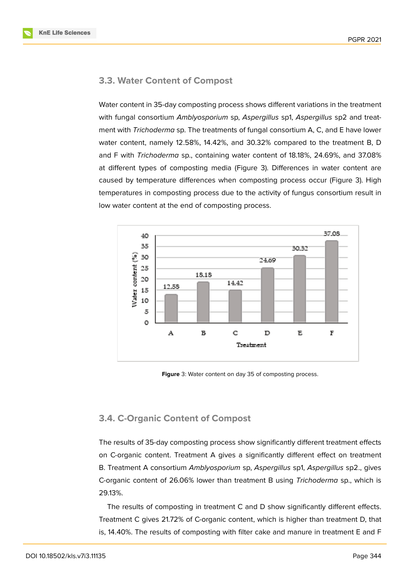### **3.3. Water Content of Compost**

Water content in 35-day composting process shows different variations in the treatment with fungal consortium *Amblyosporium* sp, *Aspergillus* sp1, *Aspergillus* sp2 and treatment with *Trichoderma* sp. The treatments of fungal consortium A, C, and E have lower water content, namely 12.58%, 14.42%, and 30.32% compared to the treatment B, D and F with *Trichoderma* sp., containing water content of 18.18%, 24.69%, and 37.08% at different types of composting media (Figure 3). Differences in water content are caused by temperature differences when composting process occur (Figure 3). High temperatures in composting process due to the activity of fungus consortium result in low water content at the end of composting proc[es](#page-4-0)s.



<span id="page-4-0"></span>**Figure** 3: Water content on day 35 of composting process.

### **3.4. C-Organic Content of Compost**

The results of 35-day composting process show significantly different treatment effects on C-organic content. Treatment A gives a significantly different effect on treatment B. Treatment A consortium *Amblyosporium* sp, *Aspergillus* sp1, *Aspergillus* sp2., gives C-organic content of 26.06% lower than treatment B using *Trichoderma* sp., which is 29.13%.

The results of composting in treatment C and D show significantly different effects. Treatment C gives 21.72% of C-organic content, which is higher than treatment D, that is, 14.40%. The results of composting with filter cake and manure in treatment E and F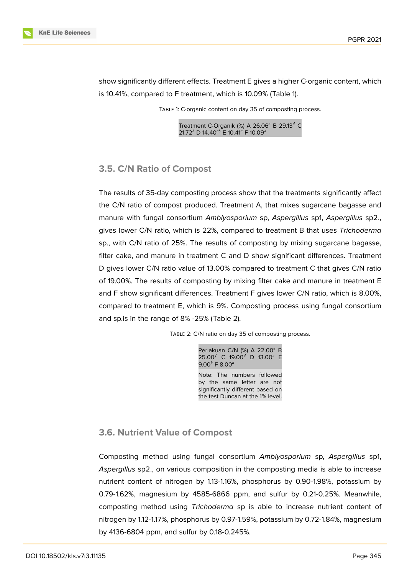

show significantly different effects. Treatment E gives a higher C-organic content, which is 10.41%, compared to F treatment, which is 10.09% (Table 1).

Table 1: C-organic content on day 35 of composting process.

Treatment C-Organik (%) A 26.06 $^c$  B 29.13<sup>d</sup> C 21.72<sup>b</sup> D 14.40<sup>ab</sup> E 10.41<sup>a</sup> F 10.09<sup>a</sup>

### **3.5. C/N Ratio of Compost**

The results of 35-day composting process show that the treatments significantly affect the C/N ratio of compost produced. Treatment A, that mixes sugarcane bagasse and manure with fungal consortium *Amblyosporium* sp, *Aspergillus* sp1, *Aspergillus* sp2., gives lower C/N ratio, which is 22%, compared to treatment B that uses *Trichoderma* sp., with C/N ratio of 25%. The results of composting by mixing sugarcane bagasse, filter cake, and manure in treatment C and D show significant differences. Treatment D gives lower C/N ratio value of 13.00% compared to treatment C that gives C/N ratio of 19.00%. The results of composting by mixing filter cake and manure in treatment E and F show significant differences. Treatment F gives lower C/N ratio, which is 8.00%, compared to treatment E, which is 9%. Composting process using fungal consortium and sp.is in the range of 8% -25% (Table 2).

TABLE 2: C/N ratio on day 35 of composting process.

Perlakuan C/N (%) A 22.00 $^e$  B  $25.00^{f}$  C 19.00<sup>d</sup> D 13.00<sup>c</sup> E 9.00 $^{b}$  F 8.00 $^{a}$ Note: The numbers followed by the same letter are not significantly different based on the test Duncan at the 1% level.

#### **3.6. Nutrient Value of Compost**

Composting method using fungal consortium *Amblyosporium* sp, *Aspergillus* sp1, *Aspergillus* sp2., on various composition in the composting media is able to increase nutrient content of nitrogen by 1.13-1.16%, phosphorus by 0.90-1.98%, potassium by 0.79-1.62%, magnesium by 4585-6866 ppm, and sulfur by 0.21-0.25%. Meanwhile, composting method using *Trichoderma* sp is able to increase nutrient content of nitrogen by 1.12-1.17%, phosphorus by 0.97-1.59%, potassium by 0.72-1.84%, magnesium by 4136-6804 ppm, and sulfur by 0.18-0.245%.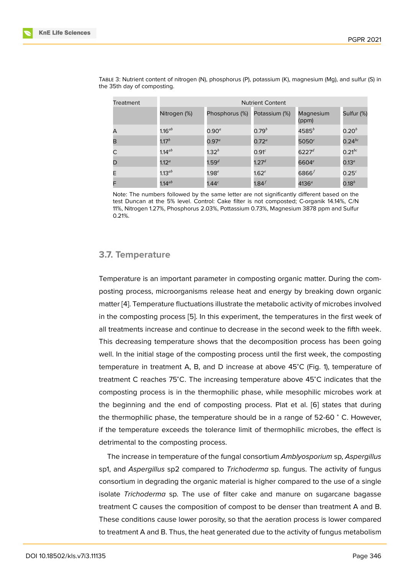| Treatment | <b>Nutrient Content</b> |                   |                   |                    |                   |
|-----------|-------------------------|-------------------|-------------------|--------------------|-------------------|
|           | Nitrogen (%)            | Phosphorus (%)    | Potassium (%)     | Magnesium<br>(ppm) | Sulfur (%)        |
| А         | 1.16 $^{ab}$            | $0.90^{a}$        | $0.79^{b}$        | $4585^b$           | $0.20^{b}$        |
| в         | $1.17^b$                | $0.97^a$          | $0.72^{\circ}$    | 5050 <sup>c</sup>  | $0.24$ bc         |
| C         | $1.14^{ab}$             | $1.32^{b}$        | 0.91 <sup>c</sup> | $6227^d$           | $0.21^{bc}$       |
| D         | 1.12 <sup>a</sup>       | 1.59 <sup>d</sup> | 1.27 <sup>d</sup> | 6604 $e$           | $0.13^a$          |
| E.        | 1.13 $^{ab}$            | 1.98 <sup>e</sup> | $1.62^e$          | 6866 $f$           | 0.25 <sup>c</sup> |
| F         | 1.14 $^{ab}$            | 1.44 <sup>c</sup> | 1.84 $^f$         | $4136^a$           | $0.18^{b}$        |

Table 3: Nutrient content of nitrogen (N), phosphorus (P), potassium (K), magnesium (Mg), and sulfur (S) in the 35th day of composting.

Note: The numbers followed by the same letter are not significantly different based on the test Duncan at the 5% level. Control: Cake filter is not composted; C-organik 14.14%, C/N 11%, Nitrogen 1.27%, Phosphorus 2.03%, Pottassium 0.73%, Magnesium 3878 ppm and Sulfur 0.21%.

#### **3.7. Temperature**

Temperature is an important parameter in composting organic matter. During the composting process, microorganisms release heat and energy by breaking down organic matter [4]. Temperature fluctuations illustrate the metabolic activity of microbes involved in the composting process [5]. In this experiment, the temperatures in the first week of all treatments increase and continue to decrease in the second week to the fifth week. This d[ecr](#page-10-3)easing temperature shows that the decomposition process has been going well. In the initial stage of t[he](#page-10-4) composting process until the first week, the composting temperature in treatment A, B, and D increase at above 45<sup>∘</sup>C (Fig. 1), temperature of treatment C reaches 75<sup>∘</sup>C. The increasing temperature above 45<sup>∘</sup>C indicates that the composting process is in the thermophilic phase, while mesophilic microbes work at the beginning and the end of composting process. Plat et al. [6] states that during the thermophilic phase, the temperature should be in a range of 52-60 <sup>∘</sup> C. However, if the temperature exceeds the tolerance limit of thermophilic microbes, the effect is detrimental to the composting process.

The increase in temperature of the fungal consortium *Amblyosporium* sp, *Aspergillus* sp1, and *Aspergillus* sp2 compared to *Trichoderma* sp. fungus. The activity of fungus consortium in degrading the organic material is higher compared to the use of a single isolate *Trichoderma* sp. The use of filter cake and manure on sugarcane bagasse treatment C causes the composition of compost to be denser than treatment A and B. These conditions cause lower porosity, so that the aeration process is lower compared to treatment A and B. Thus, the heat generated due to the activity of fungus metabolism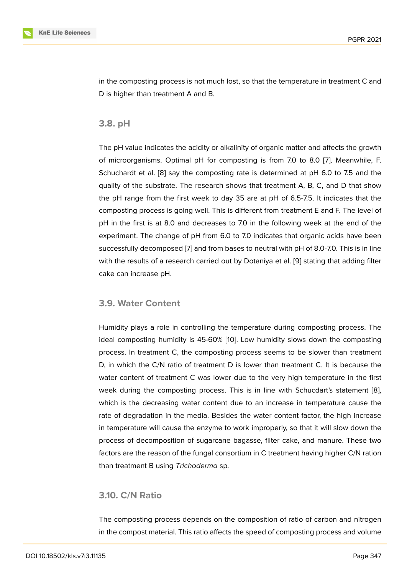in the composting process is not much lost, so that the temperature in treatment C and D is higher than treatment A and B.

#### **3.8. pH**

The pH value indicates the acidity or alkalinity of organic matter and affects the growth of microorganisms. Optimal pH for composting is from 7.0 to 8.0 [7]. Meanwhile, F. Schuchardt et al. [8] say the composting rate is determined at pH 6.0 to 7.5 and the quality of the substrate. The research shows that treatment A, B, C, and D that show the pH range from the first week to day 35 are at pH of 6.5-7.5. It [in](#page-10-5)dicates that the composting proce[ss](#page-10-6) is going well. This is different from treatment E and F. The level of pH in the first is at 8.0 and decreases to 7.0 in the following week at the end of the experiment. The change of pH from 6.0 to 7.0 indicates that organic acids have been successfully decomposed [7] and from bases to neutral with pH of 8.0-7.0. This is in line with the results of a research carried out by Dotaniya et al. [9] stating that adding filter cake can increase pH.

### **3.9. Water Content**

Humidity plays a role in controlling the temperature during composting process. The ideal composting humidity is 45-60% [10]. Low humidity slows down the composting process. In treatment C, the composting process seems to be slower than treatment D, in which the C/N ratio of treatment D is lower than treatment C. It is because the water content of treatment C was low[er d](#page-10-7)ue to the very high temperature in the first week during the composting process. This is in line with Schucdart's statement [8], which is the decreasing water content due to an increase in temperature cause the rate of degradation in the media. Besides the water content factor, the high increase in temperature will cause the enzyme to work improperly, so that it will slow down t[he](#page-10-6) process of decomposition of sugarcane bagasse, filter cake, and manure. These two factors are the reason of the fungal consortium in C treatment having higher C/N ration than treatment B using *Trichoderma* sp.

### **3.10. C/N Ratio**

The composting process depends on the composition of ratio of carbon and nitrogen in the compost material. This ratio affects the speed of composting process and volume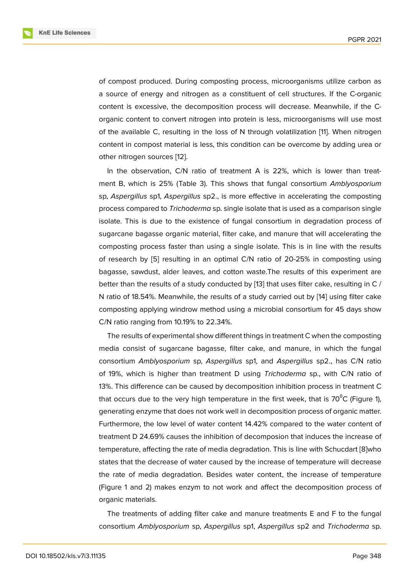of compost produced. During composting process, microorganisms utilize carbon as a source of energy and nitrogen as a constituent of cell structures. If the C-organic content is excessive, the decomposition process will decrease. Meanwhile, if the Corganic content to convert nitrogen into protein is less, microorganisms will use most of the available C, resulting in the loss of N through volatilization [11]. When nitrogen content in compost material is less, this condition can be overcome by adding urea or other nitrogen sources [12].

In the observation, C/N ratio of treatment A is 22%, which is [l](#page-10-8)ower than treatment B, which is 25% (Table 3). This shows that fungal consortium *Amblyosporium* sp, *Aspergillus* sp1, *Asp[erg](#page-10-9)illus* sp2., is more effective in accelerating the composting process compared to *Trichoderma* sp. single isolate that is used as a comparison single isolate. This is due to the existence of fungal consortium in degradation process of sugarcane bagasse organic material, filter cake, and manure that will accelerating the composting process faster than using a single isolate. This is in line with the results of research by [5] resulting in an optimal C/N ratio of 20-25% in composting using bagasse, sawdust, alder leaves, and cotton waste.The results of this experiment are better than the results of a study conducted by [13] that uses filter cake, resulting in C / N ratio of 18.54[%.](#page-10-4) Meanwhile, the results of a study carried out by [14] using filter cake composting applying windrow method using a microbial consortium for 45 days show C/N ratio ranging from 10.19% to 22.34%.

The results of experimental show different things in treatment C w[he](#page-11-0)n the composting media consist of sugarcane bagasse, filter cake, and manure, in which the fungal consortium *Amblyosporium* sp, *Aspergillus* sp1, and *Aspergillus* sp2., has C/N ratio of 19%, which is higher than treatment D using *Trichoderma* sp., with C/N ratio of 13%. This difference can be caused by decomposition inhibition process in treatment C that occurs due to the very high temperature in the first week, that is  $70^{\circ}$ C (Figure 1), generating enzyme that does not work well in decomposition process of organic matter. Furthermore, the low level of water content 14.42% compared to the water content of treatment D 24.69% causes the inhibition of decomposion that induces the increase [o](#page-3-0)f temperature, affecting the rate of media degradation. This is line with Schucdart [8]who states that the decrease of water caused by the increase of temperature will decrease the rate of media degradation. Besides water content, the increase of temperature (Figure 1 and 2) makes enzym to not work and affect the decomposition proc[es](#page-10-6)s of organic materials.

The treatments of adding filter cake and manure treatments E and F to the fungal consort[iu](#page-3-0)m *Amblyosporium* sp, *Aspergillus* sp1, *Aspergillus* sp2 and *Trichoderma* sp.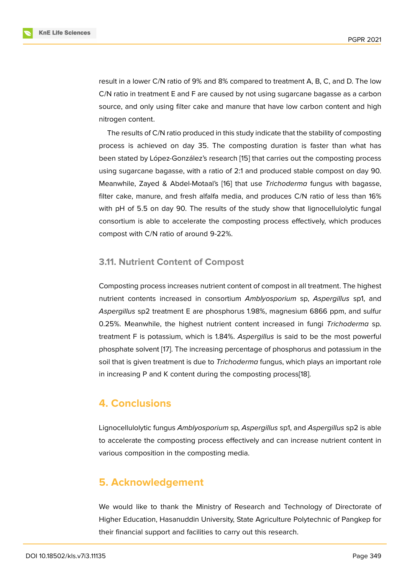result in a lower C/N ratio of 9% and 8% compared to treatment A, B, C, and D. The low C/N ratio in treatment E and F are caused by not using sugarcane bagasse as a carbon source, and only using filter cake and manure that have low carbon content and high nitrogen content.

The results of C/N ratio produced in this study indicate that the stability of composting process is achieved on day 35. The composting duration is faster than what has been stated by López-González's research [15] that carries out the composting process using sugarcane bagasse, with a ratio of 2:1 and produced stable compost on day 90. Meanwhile, Zayed & Abdel-Motaal's [16] that use *Trichoderma* fungus with bagasse, filter cake, manure, and fresh alfalfa medi[a, a](#page-11-1)nd produces C/N ratio of less than 16% with pH of 5.5 on day 90. The results of the study show that lignocellulolytic fungal consortium is able to accelerate the [com](#page-11-2)posting process effectively, which produces compost with C/N ratio of around 9-22%.

### **3.11. Nutrient Content of Compost**

Composting process increases nutrient content of compost in all treatment. The highest nutrient contents increased in consortium *Amblyosporium* sp, *Aspergillus* sp1, and *Aspergillus* sp2 treatment E are phosphorus 1.98%, magnesium 6866 ppm, and sulfur 0.25%. Meanwhile, the highest nutrient content increased in fungi *Trichoderma* sp. treatment F is potassium, which is 1.84%. *Aspergillus* is said to be the most powerful phosphate solvent [17]. The increasing percentage of phosphorus and potassium in the soil that is given treatment is due to *Trichoderma* fungus, which plays an important role in increasing P and K content during the composting process[18].

## **4. Conclusions**

Lignocellulolytic fungus *Amblyosporium* sp, *Aspergillus* sp1, and *Aspergillus* sp2 is able to accelerate the composting process effectively and can increase nutrient content in various composition in the composting media.

## **5. Acknowledgement**

We would like to thank the Ministry of Research and Technology of Directorate of Higher Education, Hasanuddin University, State Agriculture Polytechnic of Pangkep for their financial support and facilities to carry out this research.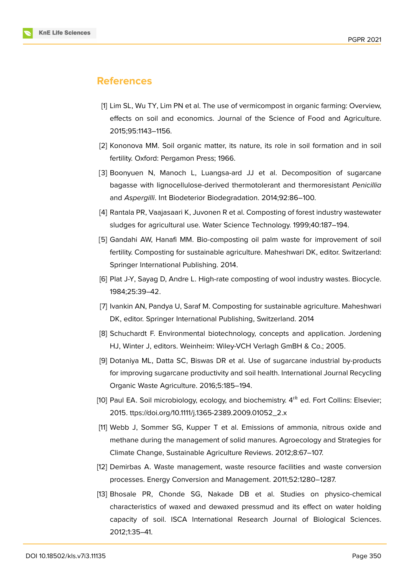

## **References**

- <span id="page-10-0"></span>[1] Lim SL, Wu TY, Lim PN et al. The use of vermicompost in organic farming: Overview, effects on soil and economics. Journal of the Science of Food and Agriculture. 2015;95:1143–1156.
- <span id="page-10-1"></span>[2] Kononova MM. Soil organic matter, its nature, its role in soil formation and in soil fertility. Oxford: Pergamon Press; 1966.
- <span id="page-10-2"></span>[3] Boonyuen N, Manoch L, Luangsa-ard JJ et al. Decomposition of sugarcane bagasse with lignocellulose-derived thermotolerant and thermoresistant *Penicillia* and *Aspergilli*. Int Biodeterior Biodegradation. 2014;92:86–100.
- <span id="page-10-3"></span>[4] Rantala PR, Vaajasaari K, Juvonen R et al. Composting of forest industry wastewater sludges for agricultural use. Water Science Technology. 1999;40:187–194.
- <span id="page-10-4"></span>[5] Gandahi AW, Hanafi MM. Bio-composting oil palm waste for improvement of soil fertility. Composting for sustainable agriculture. Maheshwari DK, editor. Switzerland: Springer International Publishing. 2014.
- [6] Plat J-Y, Sayag D, Andre L. High-rate composting of wool industry wastes. Biocycle. 1984;25:39–42.
- <span id="page-10-5"></span>[7] Ivankin AN, Pandya U, Saraf M. Composting for sustainable agriculture. Maheshwari DK, editor. Springer International Publishing, Switzerland. 2014
- <span id="page-10-6"></span>[8] Schuchardt F. Environmental biotechnology, concepts and application. Jordening HJ, Winter J, editors. Weinheim: Wiley-VCH Verlagh GmBH & Co.; 2005.
- [9] Dotaniya ML, Datta SC, Biswas DR et al. Use of sugarcane industrial by-products for improving sugarcane productivity and soil health. International Journal Recycling Organic Waste Agriculture. 2016;5:185–194.
- <span id="page-10-7"></span>[10] Paul EA. Soil microbiology, ecology, and biochemistry.  $4<sup>th</sup>$  ed. Fort Collins: Elsevier; 2015. ttps://doi.org/10.1111/j.1365-2389.2009.01052\_2.x
- <span id="page-10-8"></span>[11] Webb J, Sommer SG, Kupper T et al. Emissions of ammonia, nitrous oxide and methane during the management of solid manures. Agroecology and Strategies for Climate Change, Sustainable Agriculture Reviews. 2012;8:67–107.
- <span id="page-10-9"></span>[12] Demirbas A. Waste management, waste resource facilities and waste conversion processes. Energy Conversion and Management. 2011;52:1280–1287.
- [13] Bhosale PR, Chonde SG, Nakade DB et al. Studies on physico-chemical characteristics of waxed and dewaxed pressmud and its effect on water holding capacity of soil. ISCA International Research Journal of Biological Sciences. 2012;1:35–41.